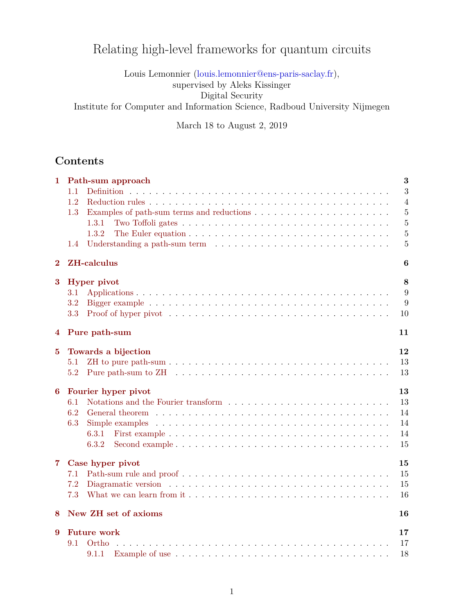# Relating high-level frameworks for quantum circuits

Louis Lemonnier [\(louis.lemonnier@ens-paris-saclay.fr\)](mailto:louis.lemonnier@ens-paris-saclay.fr),

supervised by Aleks Kissinger

Digital Security

Institute for Computer and Information Science, Radboud University Nijmegen

March 18 to August 2, 2019

# **Contents**

| 1             | 3<br>Path-sum approach<br>3<br>1.1<br>1.2<br>$\overline{4}$<br>$\overline{5}$<br>1.3<br>$\overline{5}$<br>1.3.1<br>1.3.2<br>$\overline{5}$<br>5<br>1.4                         |
|---------------|--------------------------------------------------------------------------------------------------------------------------------------------------------------------------------|
| $\bf{2}$      | <b>ZH-calculus</b><br>6                                                                                                                                                        |
| 3             | <b>Hyper</b> pivot<br>8<br>9<br>3.1<br>9<br>$3.2\,$<br>3.3<br>Proof of hyper pivot $\dots \dots \dots \dots \dots \dots \dots \dots \dots \dots \dots \dots \dots \dots$<br>10 |
| 4             | Pure path-sum<br>11                                                                                                                                                            |
| $\bf{5}$<br>6 | Towards a bijection<br>12<br>13<br>5.1<br>13<br>5.2<br>Fourier hyper pivot<br>13<br>13<br>6.1                                                                                  |
|               | 6.2<br>14<br>6.3<br>Simple examples $\ldots \ldots \ldots \ldots \ldots \ldots \ldots \ldots \ldots \ldots \ldots \ldots \ldots$<br>14<br>14<br>6.3.1<br>6.3.2<br>15           |
| 7.            | Case hyper pivot<br>15<br>15<br>7.1<br>$\rm 7.2$<br>15<br>7.3<br>16                                                                                                            |
| 8             | New ZH set of axioms<br>16                                                                                                                                                     |
| 9             | <b>Future work</b><br>17<br>9.1<br>Ortho<br>17<br>9.1.1<br>18                                                                                                                  |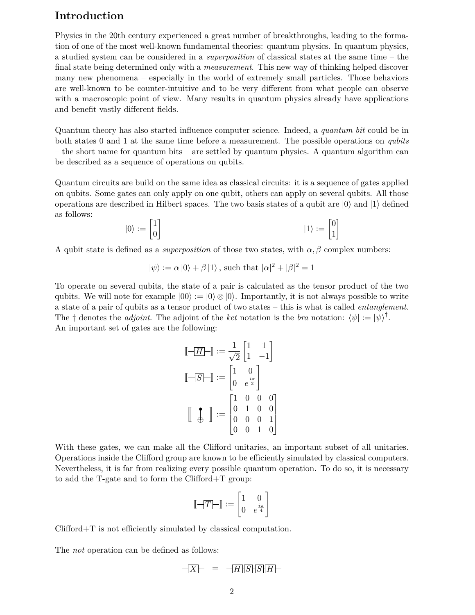# **Introduction**

Physics in the 20th century experienced a great number of breakthroughs, leading to the formation of one of the most well-known fundamental theories: quantum physics. In quantum physics, a studied system can be considered in a *superposition* of classical states at the same time – the final state being determined only with a *measurement*. This new way of thinking helped discover many new phenomena – especially in the world of extremely small particles. Those behaviors are well-known to be counter-intuitive and to be very different from what people can observe with a macroscopic point of view. Many results in quantum physics already have applications and benefit vastly different fields.

Quantum theory has also started influence computer science. Indeed, a *quantum bit* could be in both states 0 and 1 at the same time before a measurement. The possible operations on *qubits* – the short name for quantum bits – are settled by quantum physics. A quantum algorithm can be described as a sequence of operations on qubits.

Quantum circuits are build on the same idea as classical circuits: it is a sequence of gates applied on qubits. Some gates can only apply on one qubit, others can apply on several qubits. All those operations are described in Hilbert spaces. The two basis states of a qubit are *|*0*i* and *|*1*i* defined as follows: ]

$$
|0\rangle := \begin{bmatrix} 1 \\ 0 \end{bmatrix} \qquad |1\rangle := \begin{bmatrix} 0 \\ 1 \end{bmatrix}
$$

A qubit state is defined as a *superposition* of those two states, with  $\alpha$ ,  $\beta$  complex numbers:

$$
|\psi\rangle := \alpha |0\rangle + \beta |1\rangle
$$
, such that  $|\alpha|^2 + |\beta|^2 = 1$ 

To operate on several qubits, the state of a pair is calculated as the tensor product of the two qubits. We will note for example  $|00\rangle := |0\rangle \otimes |0\rangle$ . Importantly, it is not always possible to write a state of a pair of qubits as a tensor product of two states – this is what is called *entanglement*. The  $\dagger$  denotes the *adjoint*. The adjoint of the *ket* notation is the *bra* notation:  $\langle \psi | := | \psi \rangle^{\dagger}$ . An important set of gates are the following:

$$
\begin{aligned}\n\left[\begin{array}{c} -\boxed{H} - \end{array}\right] &:= \frac{1}{\sqrt{2}} \begin{bmatrix} 1 & 1 \\ 1 & -1 \end{bmatrix} \\
\left[\begin{array}{c} -\boxed{S} - \end{array}\right] &:= \begin{bmatrix} 1 & 0 \\ 0 & e^{\frac{i\pi}{2}} \end{bmatrix} \\
\left[\begin{array}{c} \begin{array}{c} 1 & 0 & 0 & 0 \\ 0 & 1 & 0 & 0 \\ 0 & 0 & 0 & 1 \\ 0 & 0 & 1 & 0 \end{array}\right]\n\end{aligned}
$$

With these gates, we can make all the Clifford unitaries, an important subset of all unitaries. Operations inside the Clifford group are known to be efficiently simulated by classical computers. Nevertheless, it is far from realizing every possible quantum operation. To do so, it is necessary to add the T-gate and to form the Clifford+T group:

$$
\llbracket -\boxed{T} - \rrbracket := \begin{bmatrix} 1 & 0 \\ 0 & e^{\frac{i\pi}{4}} \end{bmatrix}
$$

Clifford+T is not efficiently simulated by classical computation.

The *not* operation can be defined as follows:

$$
-\underline{X}\qquad = -\underline{H}\underline{S}\underline{S}\underline{H}\qquad -
$$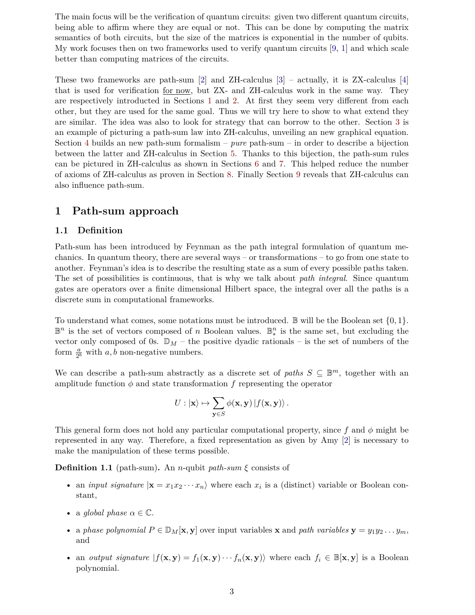The main focus will be the verification of quantum circuits: given two different quantum circuits, being able to affirm where they are equal or not. This can be done by computing the matrix semantics of both circuits, but the size of the matrices is exponential in the number of qubits. My work focuses then on two frameworks used to verify quantum circuits [\[9](#page-18-0), [1\]](#page-18-1) and which scale better than computing matrices of the circuits.

These two frameworks are path-sum  $\lbrack 2 \rbrack$  and ZH-calculus  $\lbrack 3 \rbrack$  – actually, it is ZX-calculus  $\lbrack 4 \rbrack$ that is used for verification for now, but ZX- and ZH-calculus work in the same way. They are respectively introducted in Sections [1](#page-2-0) and [2.](#page-5-0) At first they seem very different from each other, but they are used for the same goal. Thus we will try here to show to what extend they are similar. The idea was also to look for strategy that can borrow to the other. Section [3](#page-7-0) is an example of picturing a path-sum law into ZH-calculus, unveiling an new graphical equation. Section [4](#page-10-0) builds an new path-sum formalism – *pure* path-sum – in order to describe a bijection between the latter and ZH-calculus in Section [5.](#page-11-0) Thanks to this bijection, the path-sum rules can be pictured in ZH-calculus as shown in Sections [6](#page-12-2) and [7.](#page-14-1) This helped reduce the number of axioms of ZH-calculus as proven in Section [8](#page-15-1). Finally Section [9](#page-16-0) reveals that ZH-calculus can also influence path-sum.

## <span id="page-2-0"></span>**1 Path-sum approach**

### <span id="page-2-1"></span>**1.1 Definition**

Path-sum has been introduced by Feynman as the path integral formulation of quantum mechanics. In quantum theory, there are several ways – or transformations – to go from one state to another. Feynman's idea is to describe the resulting state as a sum of every possible paths taken. The set of possibilities is continuous, that is why we talk about *path integral*. Since quantum gates are operators over a finite dimensional Hilbert space, the integral over all the paths is a discrete sum in computational frameworks.

To understand what comes, some notations must be introduced. B will be the Boolean set *{*0*,* 1*}*.  $\mathbb{B}^n$  is the set of vectors composed of *n* Boolean values.  $\mathbb{B}^n_*$  is the same set, but excluding the  $\frac{1}{\sqrt{2}}$  is the set of recession composed of 0s.  $\mathbb{D}_M$  – the positive dyadic rationals – is the set of numbers of the form  $\frac{a}{2^b}$  with *a, b* non-negative numbers.

We can describe a path-sum abstractly as a discrete set of *paths*  $S \subseteq \mathbb{B}^m$ , together with an amplitude function  $\phi$  and state transformation  $f$  representing the operator

$$
U: |\mathbf{x}\rangle \mapsto \sum_{\mathbf{y}\in S} \phi(\mathbf{x}, \mathbf{y}) |f(\mathbf{x}, \mathbf{y})\rangle.
$$

This general form does not hold any particular computational property, since *f* and *ϕ* might be represented in any way. Therefore, a fixed representation as given by Amy [[2](#page-18-2)] is necessary to make the manipulation of these terms possible.

**Definition 1.1** (path-sum)**.** An *n*-qubit *path-sum ξ* consists of

- an *input signature*  $|\mathbf{x} = x_1 x_2 \cdots x_n\rangle$  where each  $x_i$  is a (distinct) variable or Boolean constant,
- a *global* phase  $\alpha \in \mathbb{C}$ .
- a *phase polynomial*  $P \in \mathbb{D}_M[\mathbf{x}, \mathbf{y}]$  over input variables **x** and *path variables*  $\mathbf{y} = y_1y_2 \dots y_m$ , and
- an *output signature*  $|f(\mathbf{x}, \mathbf{y}) f_1(\mathbf{x}, \mathbf{y}) \cdots f_n(\mathbf{x}, \mathbf{y})\rangle$  where each  $f_i \in \mathbb{B}[\mathbf{x}, \mathbf{y}]$  is a Boolean polynomial.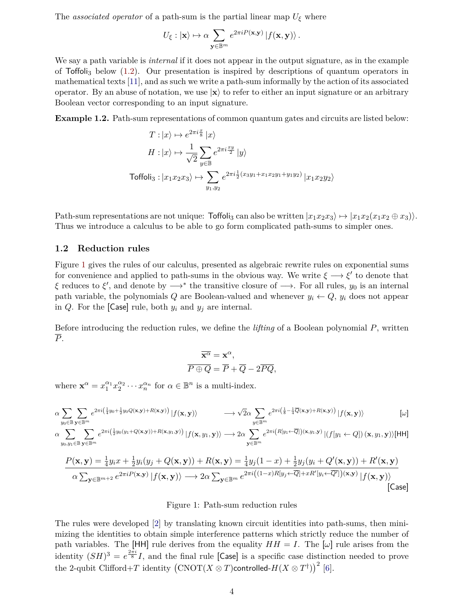The *associated operator* of a path-sum is the partial linear map  $U_{\xi}$  where

$$
U_{\xi}:|{\bf x}\rangle\mapsto \alpha\sum_{{\bf y}\in \mathbb{B}^m}e^{2\pi i P({\bf x},{\bf y})}\left|f({\bf x},{\bf y})\right\rangle.
$$

We say a path variable is *internal* if it does not appear in the output signature, as in the example of  $\text{Toffoli}_3$  below [\(1.2](#page-3-1)). Our presentation is inspired by descriptions of quantum operators in mathematical texts [\[11\]](#page-18-5), and as such we write a path-sum informally by the action of its associated operator. By an abuse of notation, we use  $|\mathbf{x}\rangle$  to refer to either an input signature or an arbitrary Boolean vector corresponding to an input signature.

<span id="page-3-1"></span>**Example 1.2.** Path-sum representations of common quantum gates and circuits are listed below:

$$
T: |x\rangle \mapsto e^{2\pi i \frac{x}{8}} |x\rangle
$$
  
\n
$$
H: |x\rangle \mapsto \frac{1}{\sqrt{2}} \sum_{y \in \mathbb{B}} e^{2\pi i \frac{xy}{2}} |y\rangle
$$
  
\nToffoli<sub>3</sub>:  $|x_1 x_2 x_3\rangle \mapsto \sum_{y_1, y_2} e^{2\pi i \frac{1}{2} (x_3 y_1 + x_1 x_2 y_1 + y_1 y_2)} |x_1 x_2 y_2\rangle$ 

Path-sum representations are not unique: Toffoli<sub>3</sub> can also be written  $|x_1x_2x_3\rangle \mapsto |x_1x_2(x_1x_2 \oplus x_3)\rangle$ . Thus we introduce a calculus to be able to go form complicated path-sums to simpler ones.

#### <span id="page-3-0"></span>**1.2 Reduction rules**

Figure [1](#page-3-2) gives the rules of our calculus, presented as algebraic rewrite rules on exponential sums for convenience and applied to path-sums in the obvious way. We write  $\xi \longrightarrow \xi'$  to denote that *ξ* reduces to *ξ ′* , and denote by *−→<sup>∗</sup>* the transitive closure of *−→*. For all rules, *y*<sup>0</sup> is an internal path variable, the polynomials *Q* are Boolean-valued and whenever  $y_i \leftarrow Q$ ,  $y_i$  does not appear in *Q*. For the [Case] rule, both  $y_i$  and  $y_j$  are internal.

Before introducing the reduction rules, we define the *lifting* of a Boolean polynomial *P*, written *P*.

$$
\overline{\mathbf{x}^{\alpha}} = \mathbf{x}^{\alpha},
$$
  

$$
\overline{P \oplus Q} = \overline{P} + \overline{Q} - 2\overline{PQ},
$$

where  $\mathbf{x}^{\alpha} = x_1^{\alpha_1} x_2^{\alpha_2} \cdots x_n^{\alpha_n}$  for  $\alpha \in \mathbb{B}^n$  is a multi-index.

<span id="page-3-2"></span>
$$
\alpha \sum_{y_0 \in \mathbb{B}} \sum_{\mathbf{y} \in \mathbb{B}^m} e^{2\pi i \left(\frac{1}{4}y_0 + \frac{1}{2}y_0 Q(\mathbf{x}, \mathbf{y}) + R(\mathbf{x}, \mathbf{y})\right)} |f(\mathbf{x}, \mathbf{y})\rangle \longrightarrow \sqrt{2}\alpha \sum_{y \in \mathbb{B}^m} e^{2\pi i \left(\frac{1}{8} - \frac{1}{4} \overline{Q}(\mathbf{x}, \mathbf{y}) + R(\mathbf{x}, \mathbf{y})\right)} |f(\mathbf{x}, \mathbf{y})\rangle
$$
 [ $\omega$ ]

$$
\alpha \sum_{y_0, y_1 \in \mathbb{B}} \sum_{\mathbf{y} \in \mathbb{B}^m} e^{2\pi i \left(\frac{1}{2}y_0(y_1 + Q(\mathbf{x}, \mathbf{y})) + R(\mathbf{x}, y_1, \mathbf{y})\right)} |f(\mathbf{x}, y_1, \mathbf{y})\rangle \longrightarrow 2\alpha \sum_{\mathbf{y} \in \mathbb{B}^m} e^{2\pi i \left(R[y_1 \leftarrow \overline{Q}]\right)(\mathbf{x}, y_1, \mathbf{y})} |(f[y_1 \leftarrow Q]) (\mathbf{x}, y_1, \mathbf{y})\rangle [\mathsf{HH}]
$$

$$
\frac{P(\mathbf{x}, \mathbf{y}) = \frac{1}{4} y_i x + \frac{1}{2} y_i (y_j + Q(\mathbf{x}, \mathbf{y})) + R(\mathbf{x}, \mathbf{y}) = \frac{1}{4} y_j (1 - x) + \frac{1}{2} y_j (y_i + Q'(\mathbf{x}, \mathbf{y})) + R'(\mathbf{x}, \mathbf{y})}{\alpha \sum_{\mathbf{y} \in \mathbb{B}^{m+2}} e^{2\pi i P(\mathbf{x}, \mathbf{y})} |f(\mathbf{x}, \mathbf{y})\rangle \longrightarrow 2\alpha \sum_{\mathbf{y} \in \mathbb{B}^m} e^{2\pi i ((1 - x)R[y_j \leftarrow \overline{Q}] + xR'[y_i \leftarrow \overline{Q}'])(\mathbf{x}, \mathbf{y})} |f(\mathbf{x}, \mathbf{y})\rangle
$$
\n[Case]

#### Figure 1: Path-sum reduction rules

The rules were developed [\[2\]](#page-18-2) by translating known circuit identities into path-sums, then minimizing the identities to obtain simple interference patterns which strictly reduce the number of path variables. The [HH] rule derives from the equality  $HH = I$ . The  $[\omega]$  rule arises from the identity  $(SH)^3 = e^{\frac{2\pi i}{8}}I$ , and the final rule [Case] is a specific case distinction needed to prove the 2-qubit Clifford+ $T$  identity  $\left(\mathrm{CNOT}(X\otimes T)\text{controlled-}H(X\otimes T^\dagger)\right)^2$  [[6](#page-18-6)].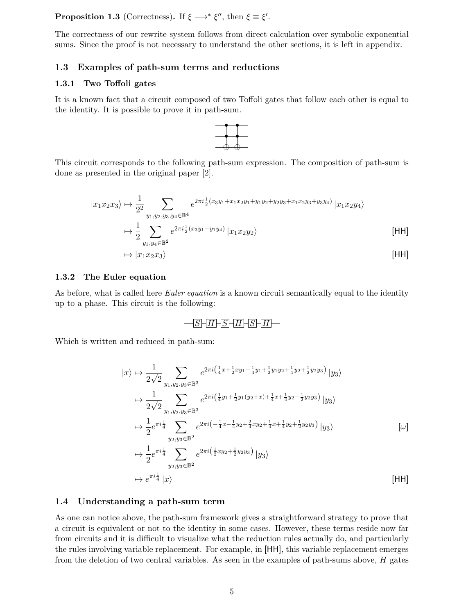**Proposition 1.3** (Correctness). If  $\xi \longrightarrow^* \xi''$ , then  $\xi \equiv \xi'$ .

The correctness of our rewrite system follows from direct calculation over symbolic exponential sums. Since the proof is not necessary to understand the other sections, it is left in appendix.

#### <span id="page-4-0"></span>**1.3 Examples of path-sum terms and reductions**

#### <span id="page-4-1"></span>**1.3.1 Two Toffoli gates**

It is a known fact that a circuit composed of two Toffoli gates that follow each other is equal to the identity. It is possible to prove it in path-sum.



This circuit corresponds to the following path-sum expression. The composition of path-sum is done as presented in the original paper [[2](#page-18-2)].

$$
|x_1x_2x_3\rangle \mapsto \frac{1}{2^2} \sum_{y_1, y_2, y_3, y_4 \in \mathbb{B}^4} e^{2\pi i \frac{1}{2}(x_3y_1 + x_1x_2y_1 + y_1y_2 + y_2y_3 + x_1x_2y_3 + y_3y_4)} |x_1x_2y_4\rangle
$$
  

$$
\mapsto \frac{1}{2} \sum_{y_1, y_4 \in \mathbb{B}^2} e^{2\pi i \frac{1}{2}(x_3y_1 + y_1y_4)} |x_1x_2y_2\rangle
$$
[HH]

$$
\mapsto |x_1x_2x_3\rangle \tag{HH}
$$

#### <span id="page-4-2"></span>**1.3.2 The Euler equation**

As before, what is called here *Euler equation* is a known circuit semantically equal to the identity up to a phase. This circuit is the following:

## $-S$   $H$   $S$   $H$   $S$   $H$

Which is written and reduced in path-sum:

$$
|x\rangle \mapsto \frac{1}{2\sqrt{2}} \sum_{y_1, y_2, y_3 \in \mathbb{B}^3} e^{2\pi i \left(\frac{1}{4}x + \frac{1}{2}xy_1 + \frac{1}{4}y_1 + \frac{1}{2}y_1y_2 + \frac{1}{4}y_2 + \frac{1}{2}y_2y_3\right)} |y_3\rangle
$$
  
\n
$$
\mapsto \frac{1}{2\sqrt{2}} \sum_{y_1, y_2, y_3 \in \mathbb{B}^3} e^{2\pi i \left(\frac{1}{4}y_1 + \frac{1}{2}y_1(y_2 + x) + \frac{1}{4}x + \frac{1}{4}y_2 + \frac{1}{2}y_2y_3\right)} |y_3\rangle
$$
  
\n
$$
\mapsto \frac{1}{2} e^{\pi i \frac{1}{4}} \sum_{y_2, y_3 \in \mathbb{B}^2} e^{2\pi i \left(-\frac{1}{4}x - \frac{1}{4}y_2 + \frac{2}{4}xy_2 + \frac{1}{4}x + \frac{1}{4}y_2 + \frac{1}{2}y_2y_3\right)} |y_3\rangle
$$
  $[\omega]$   
\n
$$
\mapsto \frac{1}{2} e^{\pi i \frac{1}{4}} \sum_{y_2, y_3 \in \mathbb{B}^2} e^{2\pi i \left(\frac{1}{2}xy_2 + \frac{1}{2}y_2y_3\right)} |y_3\rangle
$$
  $[\omega]$   
\n
$$
\mapsto e^{\pi i \frac{1}{4}} |x\rangle
$$
 [HH]

#### <span id="page-4-3"></span>**1.4 Understanding a path-sum term**

As one can notice above, the path-sum framework gives a straightforward strategy to prove that a circuit is equivalent or not to the identity in some cases. However, these terms reside now far from circuits and it is difficult to visualize what the reduction rules actually do, and particularly the rules involving variable replacement. For example, in [HH], this variable replacement emerges from the deletion of two central variables. As seen in the examples of path-sums above, *H* gates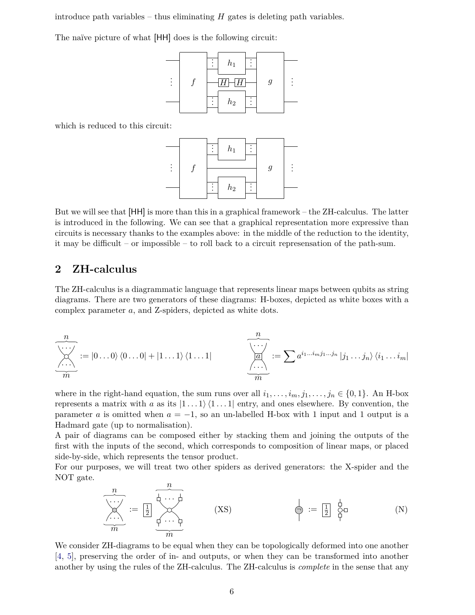introduce path variables – thus eliminating  $H$  gates is deleting path variables.

The naïve picture of what [HH] does is the following circuit:



which is reduced to this circuit:



But we will see that [HH] is more than this in a graphical framework – the ZH-calculus. The latter is introduced in the following. We can see that a graphical representation more expressive than circuits is necessary thanks to the examples above: in the middle of the reduction to the identity, it may be difficult – or impossible – to roll back to a circuit represensation of the path-sum.

## <span id="page-5-0"></span>**2 ZH-calculus**

The ZH-calculus is a diagrammatic language that represents linear maps between qubits as string diagrams. There are two generators of these diagrams: H-boxes, depicted as white boxes with a complex parameter *a*, and Z-spiders, depicted as white dots.

*. . . . . . n m* := *|*0 *. . .* 0*i h*0 *. . .* 0*|* + *|*1 *. . .* 1*i h*1 *. . .* 1*| . . . a . . . n m* := ∑*a i*1*...imj*1*...j<sup>n</sup> |j*<sup>1</sup> *. . . jni hi*<sup>1</sup> *. . . im|*

where in the right-hand equation, the sum runs over all  $i_1, \ldots, i_m, j_1, \ldots, j_n \in \{0, 1\}$ . An H-box represents a matrix with *a* as its  $|1 \dots 1\rangle \langle 1 \dots 1|$  entry, and ones elsewhere. By convention, the parameter *a* is omitted when  $a = -1$ , so an un-labelled H-box with 1 input and 1 output is a Hadmard gate (up to normalisation).

A pair of diagrams can be composed either by stacking them and joining the outputs of the first with the inputs of the second, which corresponds to composition of linear maps, or placed side-by-side, which represents the tensor product.

<span id="page-5-1"></span>For our purposes, we will treat two other spiders as derived generators: the X-spider and the NOT gate. *n*

$$
\underbrace{\overbrace{\begin{matrix}\n\cdots \\
\cdots \\
\cdots \\
\cdots\n\end{matrix}}^{n}}_{m} := \underbrace{\begin{matrix}\n\frac{1}{2} & \frac{1}{2} & \cdots & \frac{1}{2} \\
\frac{1}{2} & \frac{1}{2} & \cdots & \frac{1}{2} \\
\vdots & \vdots & \ddots & \vdots \\
\frac{1}{2} & \frac{1}{2} & \cdots & \frac{1}{2}\n\end{matrix}}_{m}
$$
\n
$$
(N)
$$

We consider ZH-diagrams to be equal when they can be topologically deformed into one another [[4](#page-18-4), [5](#page-18-7)], preserving the order of in- and outputs, or when they can be transformed into another another by using the rules of the ZH-calculus. The ZH-calculus is *complete* in the sense that any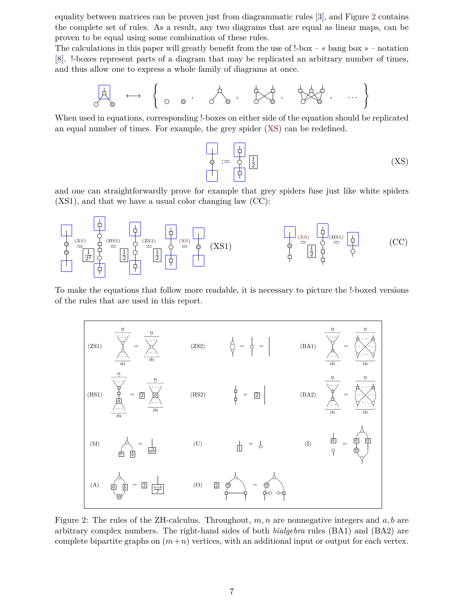equality between matrices can be proven just from diagrammatic rules [[3](#page-18-3)], and Figure [2](#page-6-0) contains the complete set of rules. As a result, any two diagrams that are equal as linear maps, can be proven to be equal using some combination of these rules.

The calculations in this paper will greatly benefit from the use of  $l$ -box – « bang box » – notation [[8](#page-18-8)]. !-boxes represent parts of a diagram that may be replicated an arbitrary number of times, and thus allow one to express a whole family of diagrams at once.

*←→* { *, , , , . . .* }

When used in equations, corresponding !-boxes on either side of the equation should be replicated an equal number of times. For example, the grey spider ([XS](#page-5-1)) can be redefined.

$$
\begin{array}{|c|c|c|c|}\n\hline\n\phi & := & \phi \\
\hline\n\phi & \boxed{\frac{1}{2}} \\
\hline\n\end{array} \tag{XS}
$$

and one can straightforwardly prove for example that grey spiders fuse just like white spiders (XS1), and that we have a usual color changing law (CC):



To make the equations that follow more readable, it is necessary to picture the !-boxed versions of the rules that are used in this report.

<span id="page-6-0"></span>

Figure 2: The rules of the ZH-calculus. Throughout, *m, n* are nonnegative integers and *a, b* are arbitrary complex numbers. The right-hand sides of both *bialgebra* rules (BA1) and (BA2) are complete bipartite graphs on  $(m+n)$  vertices, with an additional input or output for each vertex.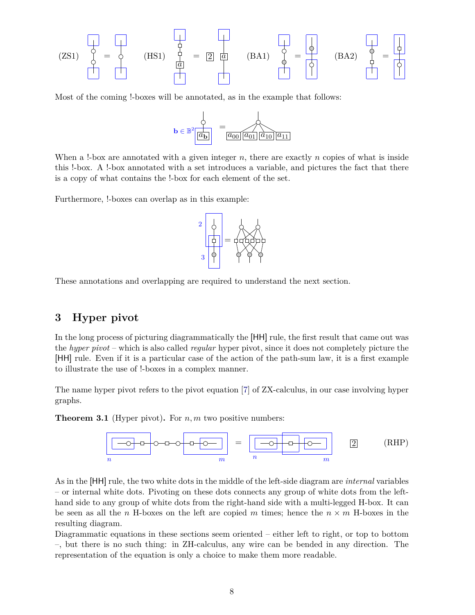(ZS1) 
$$
\begin{pmatrix} 1 & 1 & 1 \\ 1 & 1 & 1 \\ 1 & 1 & 1 \\ 1 & 1 & 1 \end{pmatrix} = \begin{bmatrix} 1 & 1 & 1 \\ 1 & 1 & 1 \\ 1 & 1 & 1 \end{bmatrix} = \begin{bmatrix} 1 & 1 & 1 \\ 1 & 1 & 1 \\ 1 & 1 & 1 \end{bmatrix}
$$
 (BA2)  $\begin{pmatrix} 1 & 1 & 1 \\ 1 & 1 & 1 \\ 1 & 1 & 1 \end{pmatrix} = \begin{pmatrix} 1 & 1 & 1 \\ 1 & 1 & 1 \\ 1 & 1 & 1 \end{pmatrix}$ 

Most of the coming !-boxes will be annotated, as in the example that follows:



When a !-box are annotated with a given integer *n*, there are exactly *n* copies of what is inside this !-box. A !-box annotated with a set introduces a variable, and pictures the fact that there is a copy of what contains the !-box for each element of the set.

Furthermore, !-boxes can overlap as in this example:



These annotations and overlapping are required to understand the next section.

## <span id="page-7-0"></span>**3 Hyper pivot**

In the long process of picturing diagrammatically the [HH] rule, the first result that came out was the *hyper pivot* – which is also called *regular* hyper pivot, since it does not completely picture the [HH] rule. Even if it is a particular case of the action of the path-sum law, it is a first example to illustrate the use of !-boxes in a complex manner.

The name hyper pivot refers to the pivot equation [[7](#page-18-9)] of ZX-calculus, in our case involving hyper graphs.

<span id="page-7-1"></span>**Theorem 3.1** (Hyper pivot)**.** For *n, m* two positive numbers:



As in the [HH] rule, the two white dots in the middle of the left-side diagram are *internal* variables – or internal white dots. Pivoting on these dots connects any group of white dots from the lefthand side to any group of white dots from the right-hand side with a multi-legged H-box. It can be seen as all the *n* H-boxes on the left are copied *m* times; hence the  $n \times m$  H-boxes in the resulting diagram.

Diagrammatic equations in these sections seem oriented – either left to right, or top to bottom –, but there is no such thing: in ZH-calculus, any wire can be bended in any direction. The representation of the equation is only a choice to make them more readable.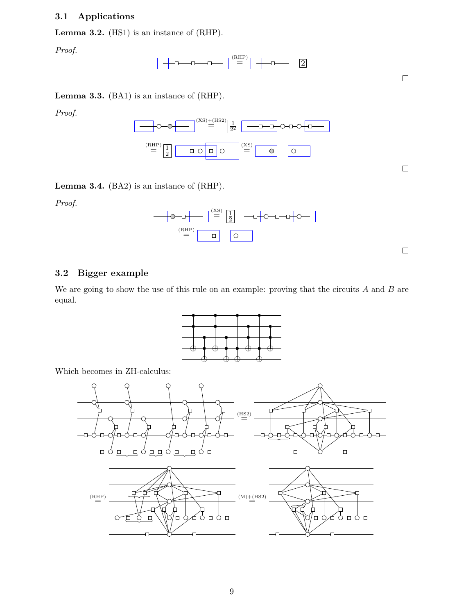## <span id="page-8-0"></span>**3.1 Applications**

<span id="page-8-2"></span>**Lemma 3.2.** (HS1) is an instance of (RHP).

*Proof.*



 $\Box$ 

 $\Box$ 

 $\Box$ 

<span id="page-8-3"></span>**Lemma 3.3.** (BA1) is an instance of (RHP).

*Proof.*



<span id="page-8-4"></span>**Lemma 3.4.** (BA2) is an instance of (RHP).

*Proof.*



## <span id="page-8-1"></span>**3.2 Bigger example**

We are going to show the use of this rule on an example: proving that the circuits *A* and *B* are equal.

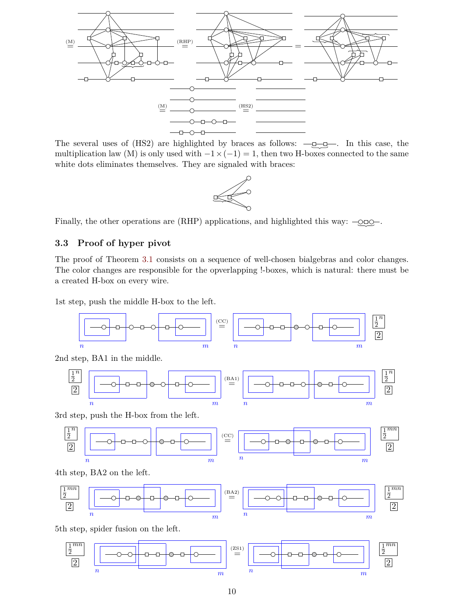

The several uses of  $(HS2)$  are highlighted by braces as follows:  $-\underline{\underline{\theta}}\underline{\underline{\theta}}$ . In this case, the multiplication law (M) is only used with  $-1 \times (-1) = 1$ , then two H-boxes connected to the same white dots eliminates themselves. They are signaled with braces:



Finally, the other operations are  $(RHP)$  applications, and highlighted this way:  $-\text{QED}$ .

## <span id="page-9-0"></span>**3.3 Proof of hyper pivot**

The proof of Theorem [3.1](#page-7-1) consists on a sequence of well-chosen bialgebras and color changes. The color changes are responsible for the opverlapping !-boxes, which is natural: there must be a created H-box on every wire.

1st step, push the middle H-box to the left.



2nd step, BA1 in the middle.



3rd step, push the H-box from the left.



4th step, BA2 on the left.



5th step, spider fusion on the left.

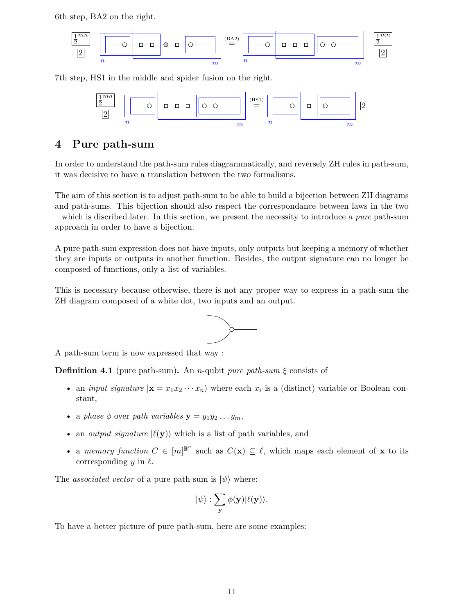6th step, BA2 on the right.



7th step, HS1 in the middle and spider fusion on the right.



# <span id="page-10-0"></span>**4 Pure path-sum**

In order to understand the path-sum rules diagrammatically, and reversely ZH rules in path-sum, it was decisive to have a translation between the two formalisms.

The aim of this section is to adjust path-sum to be able to build a bijection between ZH diagrams and path-sums. This bijection should also respect the correspondance between laws in the two – which is discribed later. In this section, we present the necessity to introduce a *pure* path-sum approach in order to have a bijection.

A pure path-sum expression does not have inputs, only outputs but keeping a memory of whether they are inputs or outputs in another function. Besides, the output signature can no longer be composed of functions, only a list of variables.

This is necessary because otherwise, there is not any proper way to express in a path-sum the ZH diagram composed of a white dot, two inputs and an output.



A path-sum term is now expressed that way :

**Definition 4.1** (pure path-sum). An *n*-qubit *pure path-sum*  $\xi$  consists of

- an *input signature*  $|\mathbf{x} = x_1 x_2 \cdots x_n\rangle$  where each  $x_i$  is a (distinct) variable or Boolean constant,
- a *phase*  $\phi$  over *path variables*  $\mathbf{y} = y_1 y_2 \dots y_m$ ,
- an *output signature*  $|\ell(\mathbf{y})\rangle$  which is a list of path variables, and
- a *memory function*  $C \in [m]^{\mathbb{B}^n}$  such as  $C(\mathbf{x}) \subseteq \ell$ , which maps each element of **x** to its corresponding *y* in *ℓ*.

The *associated vector* of a pure path-sum is  $|\psi\rangle$  where:

$$
|\psi\rangle:\sum_{\mathbf{y}}\phi(\mathbf{y})|\ell(\mathbf{y})\rangle.
$$

To have a better picture of pure path-sum, here are some examples: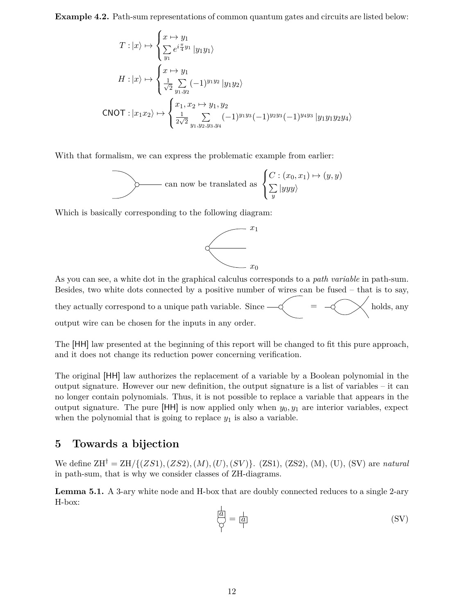**Example 4.2.** Path-sum representations of common quantum gates and circuits are listed below:

$$
T: |x\rangle \mapsto \begin{cases} x \mapsto y_1 \\ \sum_{y_1} e^{i\frac{\pi}{4}y_1} |y_1y_1\rangle \\ y_1 \end{cases}
$$
  
\n
$$
H: |x\rangle \mapsto \begin{cases} x \mapsto y_1 \\ \frac{1}{\sqrt{2}} \sum_{y_1, y_2} (-1)^{y_1y_2} |y_1y_2\rangle \\ \frac{1}{2\sqrt{2}} \sum_{y_1, y_2, y_3, y_4} (-1)^{y_1y_3} (-1)^{y_2y_3} (-1)^{y_4y_3} |y_1y_1y_2y_4\rangle \end{cases}
$$

With that formalism, we can express the problematic example from earlier:

can now be translated as 
$$
\begin{cases} C : (x_0, x_1) \mapsto (y, y) \\ \sum_{y} |yyy\rangle \end{cases}
$$

Which is basically corresponding to the following diagram:



As you can see, a white dot in the graphical calculus corresponds to a *path variable* in path-sum. Besides, two white dots connected by a positive number of wires can be fused – that is to say, they actually correspond to a unique path variable. Since  $-\check{\diamond}$  =  $-\check{\diamond}$  holds, any

output wire can be chosen for the inputs in any order.

The [HH] law presented at the beginning of this report will be changed to fit this pure approach, and it does not change its reduction power concerning verification.

The original [HH] law authorizes the replacement of a variable by a Boolean polynomial in the output signature. However our new definition, the output signature is a list of variables – it can no longer contain polynomials. Thus, it is not possible to replace a variable that appears in the output signature. The pure  $[HH]$  is now applied only when  $y_0, y_1$  are interior variables, expect when the polynomial that is going to replace  $y_1$  is also a variable.

# <span id="page-11-0"></span>**5 Towards a bijection**

We define ZH*†* = ZH*/{*(*ZS*1)*,*(*ZS*2)*,*(*M*)*,*(*U*)*,*(*SV* )*}*. (ZS1), (ZS2), (M), (U), (SV) are *natural* in path-sum, that is why we consider classes of ZH-diagrams.

**Lemma 5.1.** A 3-ary white node and H-box that are doubly connected reduces to a single 2-ary H-box:

$$
\overline{\overline{a}} = \overline{a}
$$
 (SV)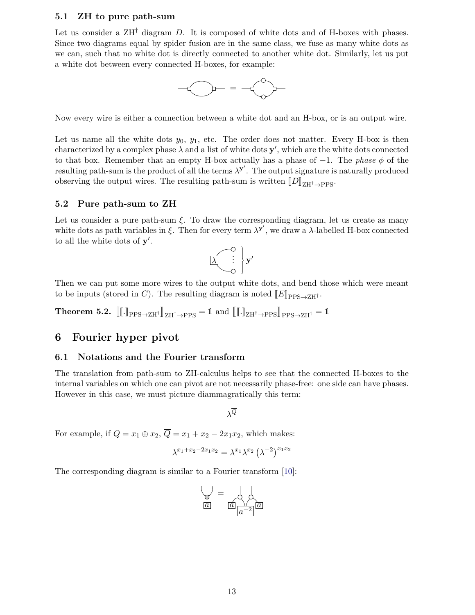#### <span id="page-12-0"></span>**5.1 ZH to pure path-sum**

Let us consider a ZH<sup>†</sup> diagram *D*. It is composed of white dots and of H-boxes with phases. Since two diagrams equal by spider fusion are in the same class, we fuse as many white dots as we can, such that no white dot is directly connected to another white dot. Similarly, let us put a white dot between every connected H-boxes, for example:



Now every wire is either a connection between a white dot and an H-box, or is an output wire.

Let us name all the white dots  $y_0, y_1$ , etc. The order does not matter. Every H-box is then characterized by a complex phase  $\lambda$  and a list of white dots  $y'$ , which are the white dots connected to that box. Remember that an empty H-box actually has a phase of *−*1. The *phase ϕ* of the resulting path-sum is the product of all the terms  $\lambda^{y'}$ . The output signature is naturally produced observing the output wires. The resulting path-sum is written  $[D]_{\text{ZH}^{\dagger} \rightarrow \text{PPS}}$ .

## <span id="page-12-1"></span>**5.2 Pure path-sum to ZH**

Let us consider a pure path-sum  $\xi$ . To draw the corresponding diagram, let us create as many white dots as path variables in  $\xi$ . Then for every term  $\lambda^{y'}$ , we draw a  $\lambda$ -labelled H-box connected to all the white dots of **y** *′* .

$$
\boxed{\lambda} \begin{pmatrix} 0 \\ \vdots \\ 0 \end{pmatrix} \mathbf{y}'
$$

Then we can put some more wires to the output white dots, and bend those which were meant to be inputs (stored in *C*). The resulting diagram is noted  $\llbracket E \rrbracket_{\text{PPS}\rightarrow \text{ZH}^{\dagger}}$ .

**Theorem 5.2.**  $\left[\left[\left[\cdot\right]\right]_{\text{PPS}\rightarrow \text{ZH}^{\dagger}}\right]_{\text{ZH}^{\dagger}\rightarrow \text{PPS}} = \mathbb{1}$  and  $\left[\left[\left[\cdot\right]\right]_{\text{ZH}^{\dagger}\rightarrow \text{PPS}}\right]_{\text{PPS}\rightarrow \text{ZH}^{\dagger}} = \mathbb{1}$ 

## <span id="page-12-2"></span>**6 Fourier hyper pivot**

#### <span id="page-12-3"></span>**6.1 Notations and the Fourier transform**

The translation from path-sum to ZH-calculus helps to see that the connected H-boxes to the internal variables on which one can pivot are not necessarily phase-free: one side can have phases. However in this case, we must picture diammagratically this term:

*λ Q*

For example, if  $Q = x_1 \oplus x_2$ ,  $\overline{Q} = x_1 + x_2 - 2x_1x_2$ , which makes:

$$
\lambda^{x_1 + x_2 - 2x_1 x_2} = \lambda^{x_1} \lambda^{x_2} (\lambda^{-2})^{x_1 x_2}
$$

The corresponding diagram is similar to a Fourier transform [\[10\]](#page-18-10):

$$
\begin{array}{c}\n\bigcirc \\
\boxed{a} \\
\boxed{a} \\
\boxed{a^{-2}} \\
\boxed{a}\n\end{array}
$$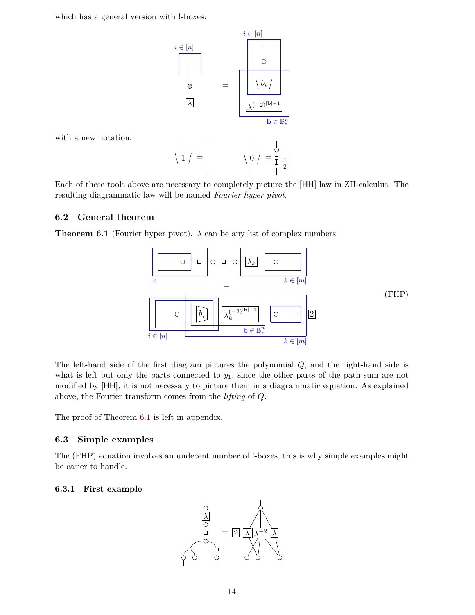which has a general version with  $!$ -boxes:



with a new notation:

$$
\frac{1}{\left| \begin{array}{c} 1 \\ 1 \end{array} \right|} = \begin{array}{c} \frac{1}{\left| \begin{array}{c} 0 \\ 1 \end{array} \right|} = \frac{1}{\left| \begin{array}{c} 1 \\ 2 \end{array} \right|} = \frac{1}{\left| \begin{array}{c} 1 \\ 2 \end{array} \right|}
$$

Each of these tools above are necessary to completely picture the [HH] law in ZH-calculus. The resulting diagrammatic law will be named *Fourier hyper pivot*.

## <span id="page-13-0"></span>**6.2 General theorem**

<span id="page-13-3"></span>**Theorem 6.1** (Fourier hyper pivot).  $\lambda$  can be any list of complex numbers.



The left-hand side of the first diagram pictures the polynomial *Q*, and the right-hand side is what is left but only the parts connected to *y*1, since the other parts of the path-sum are not modified by [HH], it is not necessary to picture them in a diagrammatic equation. As explained above, the Fourier transform comes from the *lifting* of *Q*.

The proof of Theorem [6.1](#page-13-3) is left in appendix.

## <span id="page-13-1"></span>**6.3 Simple examples**

The (FHP) equation involves an undecent number of !-boxes, this is why simple examples might be easier to handle.

#### <span id="page-13-2"></span>**6.3.1 First example**

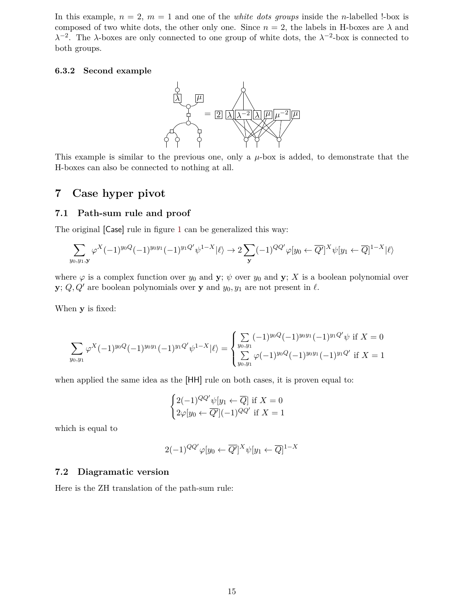In this example,  $n = 2$ ,  $m = 1$  and one of the *white dots groups* inside the *n*-labelled !-box is composed of two white dots, the other only one. Since  $n = 2$ , the labels in H-boxes are  $\lambda$  and *λ*<sup>-2</sup>. The *λ*-boxes are only connected to one group of white dots, the *λ*<sup>-2</sup>-box is connected to both groups.

#### <span id="page-14-0"></span>**6.3.2 Second example**



This example is similar to the previous one, only a *µ*-box is added, to demonstrate that the H-boxes can also be connected to nothing at all.

# <span id="page-14-1"></span>**7 Case hyper pivot**

## <span id="page-14-2"></span>**7.1 Path-sum rule and proof**

The original [Case] rule in figure [1](#page-3-2) can be generalized this way:

$$
\sum_{y_0, y_1, \mathbf{y}} \varphi^X (-1)^{y_0 Q} (-1)^{y_0 y_1} (-1)^{y_1 Q'} \psi^{1-X} | \ell \rangle \to 2 \sum_{\mathbf{y}} (-1)^{QQ'} \varphi [y_0 \leftarrow \overline{Q'}]^{X} \psi [y_1 \leftarrow \overline{Q}]^{1-X} | \ell \rangle
$$

where  $\varphi$  is a complex function over  $y_0$  and **y**;  $\psi$  over  $y_0$  and **y**; *X* is a boolean polynomial over **y**;  $Q, Q'$  are boolean polynomials over **y** and  $y_0, y_1$  are not present in  $\ell$ .

When **y** is fixed:

$$
\sum_{y_0, y_1} \varphi^X(-1)^{y_0 Q}(-1)^{y_0 y_1}(-1)^{y_1 Q'} \psi^{1-X} |\ell\rangle = \begin{cases} \sum_{y_0, y_1} (-1)^{y_0 Q}(-1)^{y_0 y_1}(-1)^{y_1 Q'} \psi \text{ if } X = 0\\ \sum_{y_0, y_1} \varphi(-1)^{y_0 Q}(-1)^{y_0 y_1}(-1)^{y_1 Q'} \text{ if } X = 1 \end{cases}
$$

when applied the same idea as the [HH] rule on both cases, it is proven equal to:

$$
\begin{cases} 2(-1)^{QQ'}\psi[y_1 \leftarrow \overline{Q}] \text{ if } X = 0\\ 2\varphi[y_0 \leftarrow \overline{Q'}](-1)^{QQ'} \text{ if } X = 1 \end{cases}
$$

which is equal to

$$
2(-1)^{QQ'}\varphi[y_0 \leftarrow \overline{Q'}]^{X}\psi[y_1 \leftarrow \overline{Q}]^{1-X}
$$

## <span id="page-14-3"></span>**7.2 Diagramatic version**

Here is the ZH translation of the path-sum rule: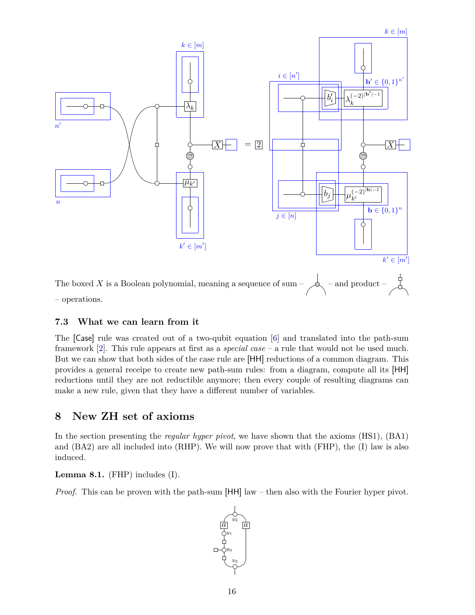

## <span id="page-15-0"></span>**7.3 What we can learn from it**

The [Case] rule was created out of a two-qubit equation [[6](#page-18-6)] and translated into the path-sum framework [\[2\]](#page-18-2). This rule appears at first as a *special case* – a rule that would not be used much. But we can show that both sides of the case rule are [HH] reductions of a common diagram. This provides a general receipe to create new path-sum rules: from a diagram, compute all its [HH] reductions until they are not reductible anymore; then every couple of resulting diagrams can make a new rule, given that they have a different number of variables.

## <span id="page-15-1"></span>**8 New ZH set of axioms**

In the section presenting the *regular hyper pivot*, we have shown that the axioms (HS1), (BA1) and (BA2) are all included into (RHP). We will now prove that with (FHP), the (I) law is also induced.

<span id="page-15-2"></span>**Lemma 8.1.** (FHP) includes (I).

*Proof.* This can be proven with the path-sum [HH] law – then also with the Fourier hyper pivot.

 $\frac{a}{a}$  *a y*2 *y*3 *y*0 *y*1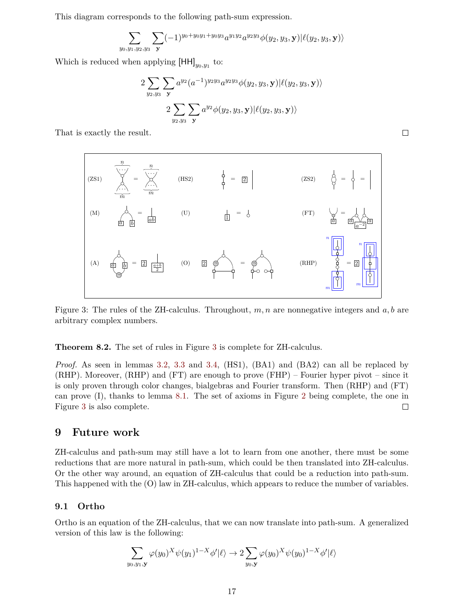This diagram corresponds to the following path-sum expression.

$$
\sum_{y_0,y_1,y_2,y_3} \sum_{\mathbf{y}} (-1)^{y_0+y_0y_1+y_0y_3} a^{y_1y_2} a^{y_2y_3} \phi(y_2,y_3,\mathbf{y}) | \ell(y_2,y_3,\mathbf{y}) \rangle
$$

Which is reduced when applying  $[HH]_{y_0,y_1}$  to:

$$
2\sum_{y_2,y_3}\sum_{\mathbf{y}}a^{y_2}(a^{-1})^{y_2y_3}a^{y_2y_3}\phi(y_2,y_3,\mathbf{y})|\ell(y_2,y_3,\mathbf{y})\rangle\\ 2\sum_{y_2,y_3}\sum_{\mathbf{y}}a^{y_2}\phi(y_2,y_3,\mathbf{y})|\ell(y_2,y_3,\mathbf{y})\rangle
$$

<span id="page-16-2"></span>That is exactly the result.

$$
\frac{n}{\sin \theta} = \frac{n}{\sin \theta}
$$
 (HS2)  
\n
$$
\frac{1}{\sin \theta} = \frac{1}{\sin \theta}
$$
 (HS3)  
\n
$$
\frac{1}{\sin \theta} = \frac{1}{\sin \theta}
$$
 (US3)  
\n
$$
\frac{1}{\sin \theta} = \frac{1}{\sin \theta}
$$
 (US4)  
\n
$$
\frac{1}{\sin \theta} = \frac{1}{\sin \theta}
$$
 (US5)  
\n
$$
\frac{1}{\sin \theta} = \frac{1}{\sin \theta}
$$
 (US6)  
\n
$$
\frac{1}{\sin \theta} = \frac{1}{\sin \theta}
$$
 (US8)  
\n
$$
\frac{1}{\sin \theta} = \frac{1}{\sin \theta}
$$
 (US9)  
\n
$$
\frac{1}{\sin \theta} = \frac{1}{\sin \theta}
$$
 (US9)  
\n
$$
\frac{1}{\sin \theta} = \frac{1}{\sin \theta}
$$
 (US9)  
\n
$$
\frac{1}{\sin \theta} = \frac{1}{\sin \theta}
$$
 (US9)  
\n
$$
\frac{1}{\sin \theta} = \frac{1}{\sin \theta}
$$
 (US9)  
\n
$$
\frac{1}{\sin \theta} = \frac{1}{\sin \theta}
$$
 (US9)  
\n
$$
\frac{1}{\sin \theta} = \frac{1}{\sin \theta}
$$
 (US1)  
\n
$$
\frac{1}{\sin \theta} = \frac{1}{\sin \theta}
$$
 (US1)  
\n
$$
\frac{1}{\sin \theta} = \frac{1}{\sin \theta}
$$
 (US1)  
\n
$$
\frac{1}{\sin \theta} = \frac{1}{\sin \theta}
$$
 (US2)  
\n
$$
\frac{1}{\sin \theta} = \frac{1}{\sin \theta}
$$
 (US3)  
\n
$$
\frac{1}{\sin \theta} = \frac{1}{\sin \theta}
$$
 (US1)  
\n
$$
\frac{1}{\sin \theta} = \frac{1}{\sin \theta}
$$
 (US2)  
\n
$$
\frac{1}{\sin \theta} = \frac{1}{\sin \theta}
$$
 (US1)  
\n
$$
\frac{1}{\sin \theta} = \frac{1}{\sin \theta}
$$
 (US3)<

Figure 3: The rules of the ZH-calculus. Throughout, *m, n* are nonnegative integers and *a, b* are arbitrary complex numbers.

**Theorem 8.2.** The set of rules in Figure [3](#page-16-2) is complete for ZH-calculus.

*Proof.* As seen in lemmas [3.2](#page-8-2), [3.3](#page-8-3) and [3.4](#page-8-4), (HS1), (BA1) and (BA2) can all be replaced by (RHP). Moreover, (RHP) and (FT) are enough to prove (FHP) – Fourier hyper pivot – since it is only proven through color changes, bialgebras and Fourier transform. Then (RHP) and (FT) can prove (I), thanks to lemma [8.1](#page-15-2). The set of axioms in Figure [2](#page-6-0) being complete, the one in Figure [3](#page-16-2) is also complete.  $\Box$ 

## <span id="page-16-0"></span>**9 Future work**

ZH-calculus and path-sum may still have a lot to learn from one another, there must be some reductions that are more natural in path-sum, which could be then translated into ZH-calculus. Or the other way around, an equation of ZH-calculus that could be a reduction into path-sum. This happened with the (O) law in ZH-calculus, which appears to reduce the number of variables.

#### <span id="page-16-1"></span>**9.1 Ortho**

Ortho is an equation of the ZH-calculus, that we can now translate into path-sum. A generalized version of this law is the following:

$$
\sum_{y_0, y_1, \mathbf{y}} \varphi(y_0)^X \psi(y_1)^{1-X} \phi' | \ell \rangle \to 2 \sum_{y_0, \mathbf{y}} \varphi(y_0)^X \psi(y_0)^{1-X} \phi' | \ell \rangle
$$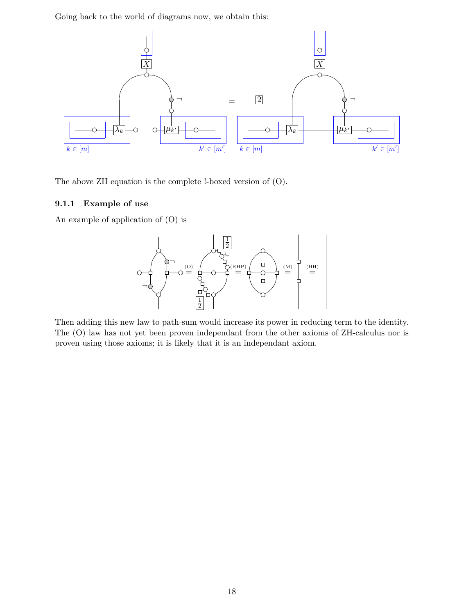Going back to the world of diagrams now, we obtain this:



The above ZH equation is the complete !-boxed version of (O).

## <span id="page-17-0"></span>**9.1.1 Example of use**

An example of application of (O) is



Then adding this new law to path-sum would increase its power in reducing term to the identity. The (O) law has not yet been proven independant from the other axioms of ZH-calculus nor is proven using those axioms; it is likely that it is an independant axiom.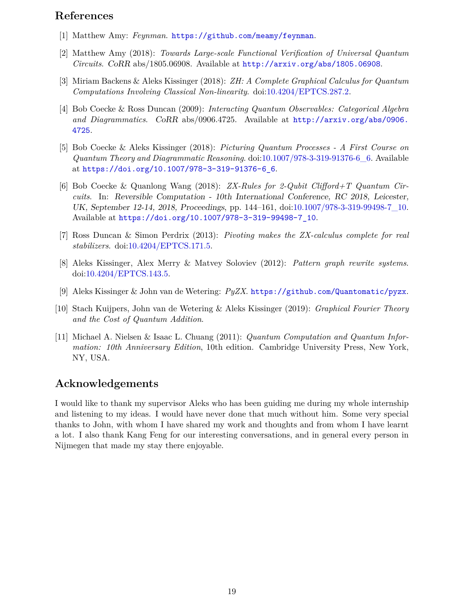# **References**

- <span id="page-18-1"></span>[1] Matthew Amy: *Feynman*. <https://github.com/meamy/feynman>.
- <span id="page-18-2"></span>[2] Matthew Amy (2018): *Towards Large-scale Functional Verification of Universal Quantum Circuits*. *CoRR* abs/1805.06908. Available at <http://arxiv.org/abs/1805.06908>.
- <span id="page-18-3"></span>[3] Miriam Backens & Aleks Kissinger (2018): *ZH: A Complete Graphical Calculus for Quantum Computations Involving Classical Non-linearity*. doi:[10.4204/EPTCS.287.2.](http://dx.doi.org/10.4204/EPTCS.287.2)
- <span id="page-18-4"></span>[4] Bob Coecke & Ross Duncan (2009): *Interacting Quantum Observables: Categorical Algebra and Diagrammatics*. *CoRR* abs/0906.4725. Available at [http://arxiv.org/abs/0906.](http://arxiv.org/abs/0906.4725) [4725](http://arxiv.org/abs/0906.4725).
- <span id="page-18-7"></span>[5] Bob Coecke & Aleks Kissinger (2018): *Picturing Quantum Processes - A First Course on Quantum Theory and Diagrammatic Reasoning*. doi:[10.1007/978-3-319-91376-6\\_6.](http://dx.doi.org/10.1007/978-3-319-91376-6_6) Available at [https://doi.org/10.1007/978-3-319-91376-6\\_6](https://doi.org/10.1007/978-3-319-91376-6_6).
- <span id="page-18-6"></span>[6] Bob Coecke & Quanlong Wang (2018): *ZX-Rules for 2-Qubit Clifford+T Quantum Circuits*. In: *Reversible Computation - 10th International Conference, RC 2018, Leicester, UK, September 12-14, 2018, Proceedings*, pp. 144–161, doi[:10.1007/978-3-319-99498-7\\_10.](http://dx.doi.org/10.1007/978-3-319-99498-7_10) Available at [https://doi.org/10.1007/978-3-319-99498-7\\_10](https://doi.org/10.1007/978-3-319-99498-7_10).
- <span id="page-18-9"></span>[7] Ross Duncan & Simon Perdrix (2013): *Pivoting makes the ZX-calculus complete for real stabilizers*. doi[:10.4204/EPTCS.171.5](http://dx.doi.org/10.4204/EPTCS.171.5).
- <span id="page-18-8"></span>[8] Aleks Kissinger, Alex Merry & Matvey Soloviev (2012): *Pattern graph rewrite systems*. doi:[10.4204/EPTCS.143.5.](http://dx.doi.org/10.4204/EPTCS.143.5)
- <span id="page-18-0"></span>[9] Aleks Kissinger & John van de Wetering: *PyZX*. <https://github.com/Quantomatic/pyzx>.
- <span id="page-18-10"></span>[10] Stach Kuijpers, John van de Wetering & Aleks Kissinger (2019): *Graphical Fourier Theory and the Cost of Quantum Addition*.
- <span id="page-18-5"></span>[11] Michael A. Nielsen & Isaac L. Chuang (2011): *Quantum Computation and Quantum Information: 10th Anniversary Edition*, 10th edition. Cambridge University Press, New York, NY, USA.

# **Acknowledgements**

I would like to thank my supervisor Aleks who has been guiding me during my whole internship and listening to my ideas. I would have never done that much without him. Some very special thanks to John, with whom I have shared my work and thoughts and from whom I have learnt a lot. I also thank Kang Feng for our interesting conversations, and in general every person in Nijmegen that made my stay there enjoyable.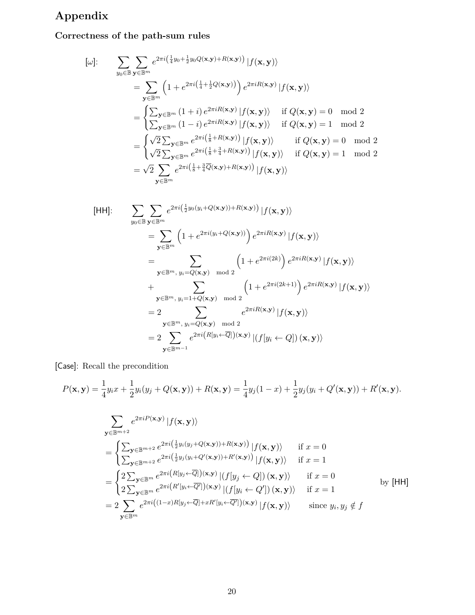# **Appendix**

# **Correctness of the path-sum rules**

$$
\begin{aligned}\n[\omega]: \qquad & \sum_{y_0 \in \mathbb{B}} \sum_{\mathbf{y} \in \mathbb{B}^m} e^{2\pi i \left(\frac{1}{4}y_0 + \frac{1}{2}y_0 Q(\mathbf{x}, \mathbf{y}) + R(\mathbf{x}, \mathbf{y})\right)} |f(\mathbf{x}, \mathbf{y})\rangle \\
&= \sum_{\mathbf{y} \in \mathbb{B}^m} \left(1 + e^{2\pi i \left(\frac{1}{4} + \frac{1}{2}Q(\mathbf{x}, \mathbf{y})\right)}\right) e^{2\pi i R(\mathbf{x}, \mathbf{y})} |f(\mathbf{x}, \mathbf{y})\rangle \\
&= \begin{cases}\n\sum_{\mathbf{y} \in \mathbb{B}^m} (1 + i) e^{2\pi i R(\mathbf{x}, \mathbf{y})} |f(\mathbf{x}, \mathbf{y})\rangle & \text{if } Q(\mathbf{x}, \mathbf{y}) = 0 \mod 2 \\
\sum_{\mathbf{y} \in \mathbb{B}^m} (1 - i) e^{2\pi i R(\mathbf{x}, \mathbf{y})} |f(\mathbf{x}, \mathbf{y})\rangle & \text{if } Q(\mathbf{x}, \mathbf{y}) = 1 \mod 2 \\
\sqrt{2} \sum_{\mathbf{y} \in \mathbb{B}^m} e^{2\pi i \left(\frac{1}{8} + R(\mathbf{x}, \mathbf{y})\right)} |f(\mathbf{x}, \mathbf{y})\rangle & \text{if } Q(\mathbf{x}, \mathbf{y}) = 0 \mod 2 \\
\sqrt{2} \sum_{\mathbf{y} \in \mathbb{B}^m} e^{2\pi i \left(\frac{1}{8} + \frac{3}{4} + R(\mathbf{x}, \mathbf{y})\right)} |f(\mathbf{x}, \mathbf{y})\rangle & \text{if } Q(\mathbf{x}, \mathbf{y}) = 1 \mod 2 \\
&= \sqrt{2} \sum_{\mathbf{y} \in \mathbb{B}^m} e^{2\pi i \left(\frac{1}{8} + \frac{3}{4}Q(\mathbf{x}, \mathbf{y}) + R(\mathbf{x}, \mathbf{y})\right)} |f(\mathbf{x}, \mathbf{y})\rangle\n\end{aligned}
$$

[HH]:  
\n
$$
\sum_{y_0 \in \mathbb{B}} \sum_{\mathbf{y} \in \mathbb{B}^m} e^{2\pi i \left(\frac{1}{2}y_0(y_i + Q(\mathbf{x}, \mathbf{y})) + R(\mathbf{x}, \mathbf{y})\right)} |f(\mathbf{x}, \mathbf{y})\rangle
$$
\n
$$
= \sum_{\mathbf{y} \in \mathbb{B}^m} \left(1 + e^{2\pi i(y_i + Q(\mathbf{x}, \mathbf{y}))}\right) e^{2\pi i R(\mathbf{x}, \mathbf{y})} |f(\mathbf{x}, \mathbf{y})\rangle
$$
\n
$$
= \sum_{\mathbf{y} \in \mathbb{B}^m, y_i = Q(\mathbf{x}, \mathbf{y}) \mod 2} \left(1 + e^{2\pi i (2k)}\right) e^{2\pi i R(\mathbf{x}, \mathbf{y})} |f(\mathbf{x}, \mathbf{y})\rangle
$$
\n
$$
+ \sum_{\mathbf{y} \in \mathbb{B}^m, y_i = 1 + Q(\mathbf{x}, \mathbf{y}) \mod 2} \left(1 + e^{2\pi i (2k+1)}\right) e^{2\pi i R(\mathbf{x}, \mathbf{y})} |f(\mathbf{x}, \mathbf{y})\rangle
$$
\n
$$
= 2 \sum_{\mathbf{y} \in \mathbb{B}^m, y_i = Q(\mathbf{x}, \mathbf{y}) \mod 2} e^{2\pi i R(\mathbf{x}, \mathbf{y})} |f(\mathbf{y}, \mathbf{y})\rangle
$$
\n
$$
= 2 \sum_{\mathbf{y} \in \mathbb{B}^{m-1}} e^{2\pi i (R[y_i \leftarrow \overline{Q}]) (\mathbf{x}, \mathbf{y})} |(f[y_i \leftarrow Q]) (\mathbf{x}, \mathbf{y})\rangle
$$

[Case]: Recall the precondition

$$
P(\mathbf{x}, \mathbf{y}) = \frac{1}{4} y_i x + \frac{1}{2} y_i (y_j + Q(\mathbf{x}, \mathbf{y})) + R(\mathbf{x}, \mathbf{y}) = \frac{1}{4} y_j (1 - x) + \frac{1}{2} y_j (y_i + Q'(\mathbf{x}, \mathbf{y})) + R'(\mathbf{x}, \mathbf{y}).
$$

$$
\sum_{\mathbf{y} \in \mathbb{B}^{m+2}} e^{2\pi i P(\mathbf{x}, \mathbf{y})} |f(\mathbf{x}, \mathbf{y})\rangle
$$
\n
$$
= \begin{cases}\n\sum_{\mathbf{y} \in \mathbb{B}^{m+2}} e^{2\pi i (\frac{1}{2}y_i(y_j + Q(\mathbf{x}, \mathbf{y})) + R(\mathbf{x}, \mathbf{y}))} |f(\mathbf{x}, \mathbf{y})\rangle & \text{if } x = 0 \\
\sum_{\mathbf{y} \in \mathbb{B}^{m+2}} e^{2\pi i (\frac{1}{2}y_j(y_i + Q'(\mathbf{x}, \mathbf{y})) + R'(\mathbf{x}, \mathbf{y}))} |f(\mathbf{x}, \mathbf{y})\rangle & \text{if } x = 1\n\end{cases}
$$
\n
$$
= \begin{cases}\n2 \sum_{\mathbf{y} \in \mathbb{B}^m} e^{2\pi i (R[y_j \leftarrow \overline{Q}]) (\mathbf{x}, \mathbf{y})} |(f[y_j \leftarrow Q]) (\mathbf{x}, \mathbf{y})\rangle & \text{if } x = 0 \\
2 \sum_{\mathbf{y} \in \mathbb{B}^m} e^{2\pi i (R'[y_i \leftarrow \overline{Q}']) (\mathbf{x}, \mathbf{y})} |(f[y_i \leftarrow Q']) (\mathbf{x}, \mathbf{y})\rangle & \text{if } x = 1\n\end{cases}
$$
by [HH]\n
$$
= 2 \sum_{\mathbf{y} \in \mathbb{B}^m} e^{2\pi i ((1-x)R[y_j \leftarrow \overline{Q}] + xR'[y_i \leftarrow \overline{Q}']) (\mathbf{x}, \mathbf{y})} |f(\mathbf{x}, \mathbf{y})\rangle & \text{since } y_i, y_j \notin f
$$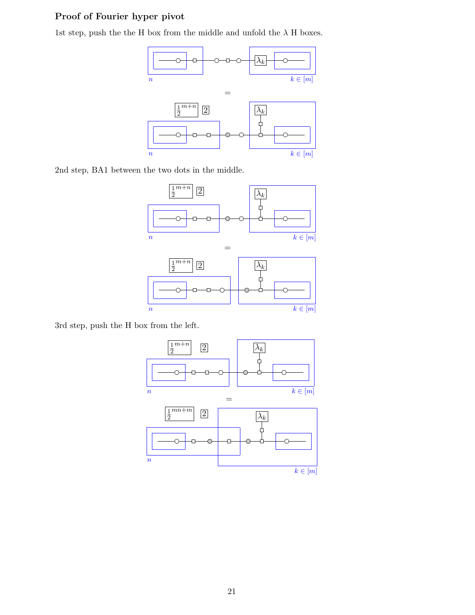# **Proof of Fourier hyper pivot**

1st step, push the the H box from the middle and unfold the  $\lambda$  H boxes.



2nd step, BA1 between the two dots in the middle.



3rd step, push the H box from the left.

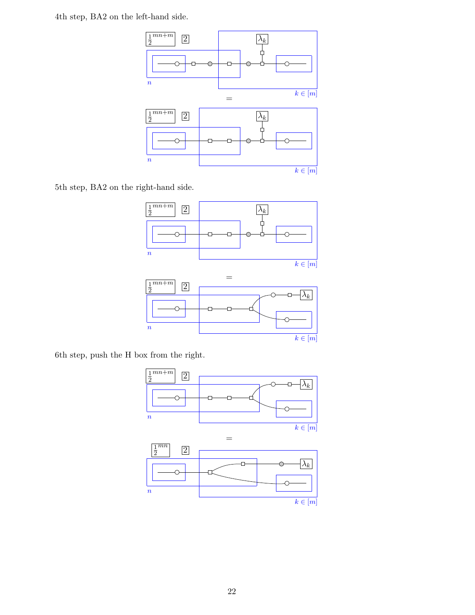4th step, BA2 on the left-hand side.



5th step, BA2 on the right-hand side.





6th step, push the H box from the right.

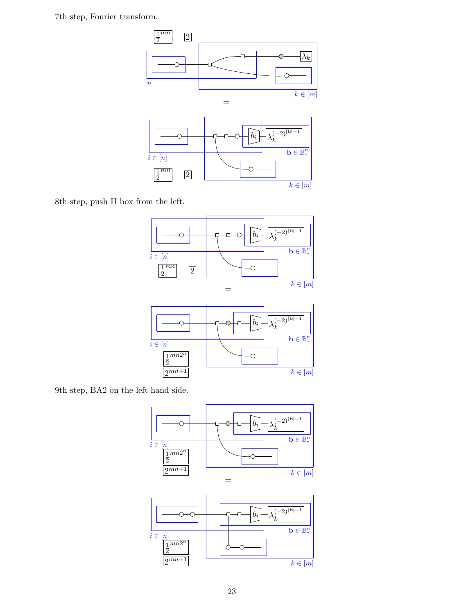7th step, Fourier transform.



8th step, push H box from the left.





9th step, BA2 on the left-hand side.



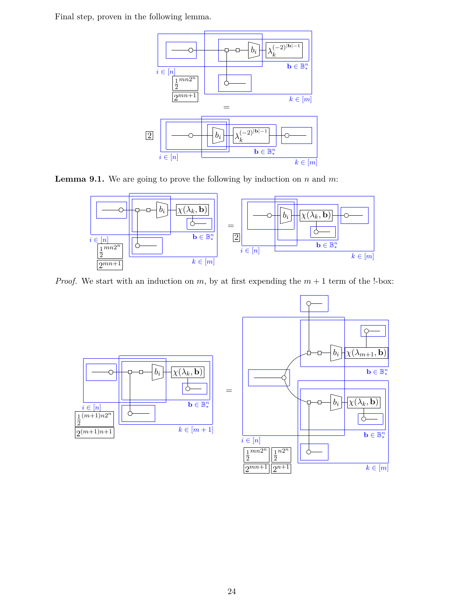Final step, proven in the following lemma.



**Lemma 9.1.** We are going to prove the following by induction on *n* and *m*:



*Proof.* We start with an induction on  $m$ , by at first expending the  $m + 1$  term of the !-box:



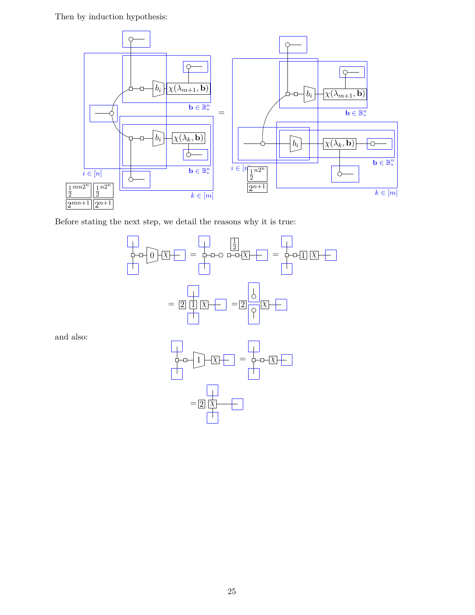Then by induction hypothesis:



Before stating the next step, we detail the reasons why it is true:



 $=$  2  $\overline{\chi}$ 

and also: